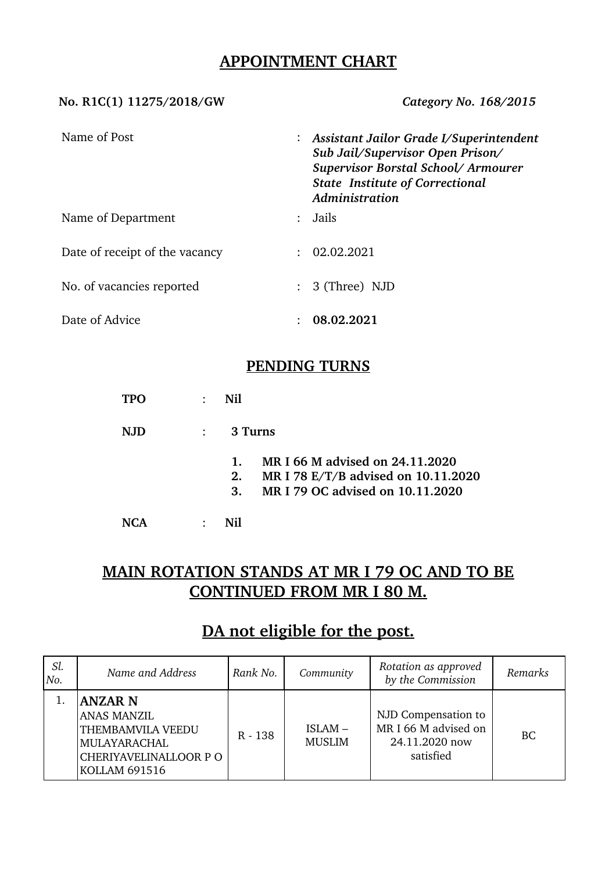## **APPOINTMENT CHART**

#### **No. R1C(1) 11275/2018/GW** *Category No. 168/2015*

| Name of Post                   |                           | : Assistant Jailor Grade I/Superintendent<br>Sub Jail/Supervisor Open Prison/<br>Supervisor Borstal School/Armourer<br><b>State Institute of Correctional</b><br>Administration |
|--------------------------------|---------------------------|---------------------------------------------------------------------------------------------------------------------------------------------------------------------------------|
| Name of Department             | $\mathbb{R}^{\mathbb{Z}}$ | Jails                                                                                                                                                                           |
| Date of receipt of the vacancy | $\bullet$ .               | 02.02.2021                                                                                                                                                                      |
| No. of vacancies reported      |                           | $: 3$ (Three) NJD                                                                                                                                                               |
| Date of Advice                 |                           | 08.02.2021                                                                                                                                                                      |

### **PENDING TURNS**

**TPO** : **Nil**

**NJD** : **3 Turns**

- **1. MR I 66 M advised on 24.11.2020**
- **2. MR I 78 E/T/B advised on 10.11.2020**
- **3. MR I 79 OC advised on 10.11.2020**
- **NCA** : **Nil**

# **MAIN ROTATION STANDS AT MR I 79 OC AND TO BE CONTINUED FROM MR I 80 M.**

# **DA not eligible for the post.**

| Sl.<br>No. | Name and Address                                                                                                                   | Rank No.  | Community               | Rotation as approved<br>by the Commission                                  | Remarks   |
|------------|------------------------------------------------------------------------------------------------------------------------------------|-----------|-------------------------|----------------------------------------------------------------------------|-----------|
|            | <b>ANZAR N</b><br><b>ANAS MANZIL</b><br>THEMBAMVILA VEEDU<br><b>MULAYARACHAL</b><br>CHERIYAVELINALLOOR P O<br><b>KOLLAM 691516</b> | $R - 138$ | ISLAM-<br><b>MUSLIM</b> | NJD Compensation to<br>MR I 66 M advised on<br>24.11.2020 now<br>satisfied | <b>BC</b> |